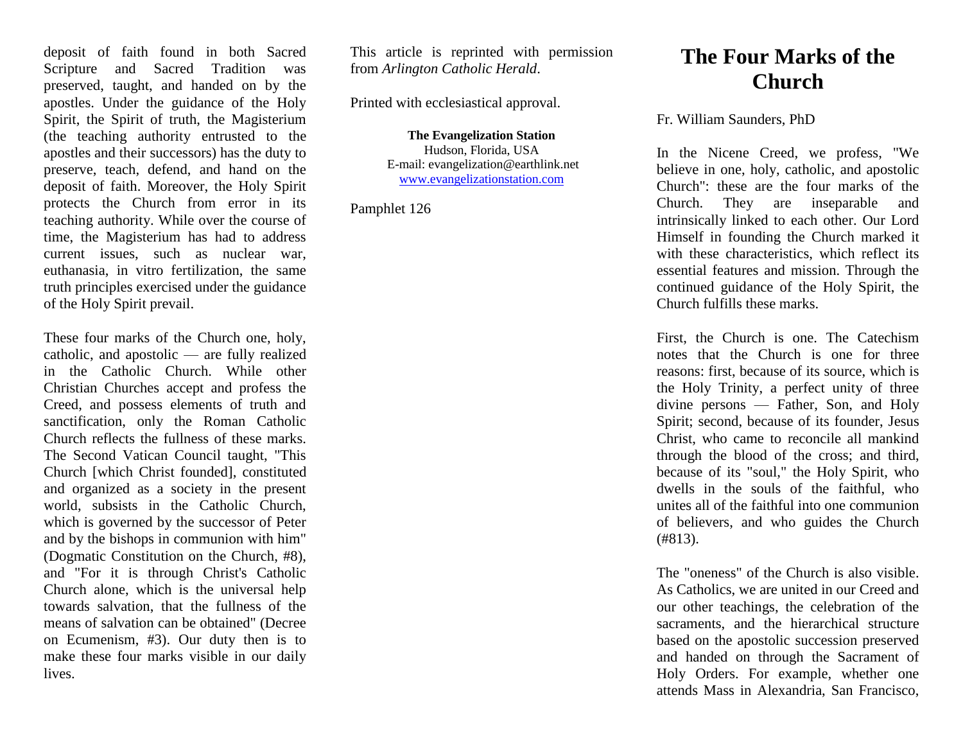deposit of faith found in both Sacred Scripture and Sacred Tradition was preserved, taught, and handed on by the apostles. Under the guidance of the Holy Spirit, the Spirit of truth, the Magisterium (the teaching authority entrusted to the apostles and their successors) has the duty to preserve, teach, defend, and hand on the deposit of faith. Moreover, the Holy Spirit protects the Church from error in its teaching authority. While over the course of time, the Magisterium has had to address current issues, such as nuclear war, euthanasia, in vitro fertilization, the same truth principles exercised under the guidance of the Holy Spirit prevail.

These four marks of the Church one, holy, catholic, and apostolic — are fully realized in the Catholic Church. While other Christian Churches accept and profess the Creed, and possess elements of truth and sanctification, only the Roman Catholic Church reflects the fullness of these marks. The Second Vatican Council taught, "This Church [which Christ founded], constituted and organized as a society in the present world, subsists in the Catholic Church, which is governed by the successor of Peter and by the bishops in communion with him" (Dogmatic Constitution on the Church, #8), and "For it is through Christ's Catholic Church alone, which is the universal help towards salvation, that the fullness of the means of salvation can be obtained" (Decree on Ecumenism, #3). Our duty then is to make these four marks visible in our daily lives.

This article is reprinted with permission from *Arlington Catholic Herald*.

Printed with ecclesiastical approval.

**The Evangelization Station** Hudson, Florida, USA E-mail: evangelization@earthlink.net [www.evangelizationstation.com](http://www.pjpiisoe.org/)

Pamphlet 126

## **The Four Marks of the Church**

## Fr. William Saunders, PhD

In the Nicene Creed, we profess, "We believe in one, holy, catholic, and apostolic Church": these are the four marks of the Church. They are inseparable and intrinsically linked to each other. Our Lord Himself in founding the Church marked it with these characteristics, which reflect its essential features and mission. Through the continued guidance of the Holy Spirit, the Church fulfills these marks.

First, the Church is one. The Catechism notes that the Church is one for three reasons: first, because of its source, which is the Holy Trinity, a perfect unity of three divine persons — Father, Son, and Holy Spirit; second, because of its founder, Jesus Christ, who came to reconcile all mankind through the blood of the cross; and third, because of its "soul," the Holy Spirit, who dwells in the souls of the faithful, who unites all of the faithful into one communion of believers, and who guides the Church (#813).

The "oneness" of the Church is also visible. As Catholics, we are united in our Creed and our other teachings, the celebration of the sacraments, and the hierarchical structure based on the apostolic succession preserved and handed on through the Sacrament of Holy Orders. For example, whether one attends Mass in Alexandria, San Francisco,